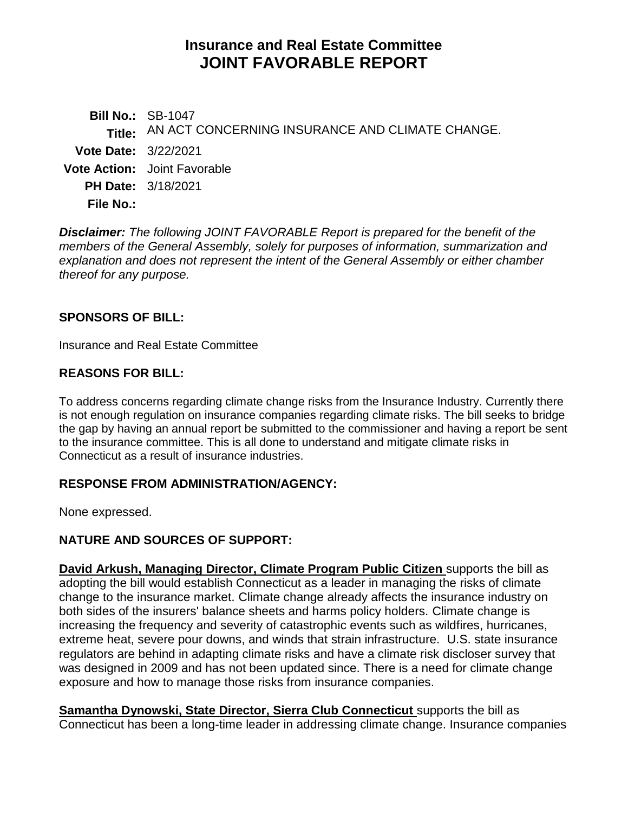# **Insurance and Real Estate Committee JOINT FAVORABLE REPORT**

**Bill No.:** SB-1047 **Title:** AN ACT CONCERNING INSURANCE AND CLIMATE CHANGE. **Vote Date:** 3/22/2021 **Vote Action:** Joint Favorable **PH Date:** 3/18/2021 **File No.:**

*Disclaimer: The following JOINT FAVORABLE Report is prepared for the benefit of the members of the General Assembly, solely for purposes of information, summarization and explanation and does not represent the intent of the General Assembly or either chamber thereof for any purpose.*

### **SPONSORS OF BILL:**

Insurance and Real Estate Committee

### **REASONS FOR BILL:**

To address concerns regarding climate change risks from the Insurance Industry. Currently there is not enough regulation on insurance companies regarding climate risks. The bill seeks to bridge the gap by having an annual report be submitted to the commissioner and having a report be sent to the insurance committee. This is all done to understand and mitigate climate risks in Connecticut as a result of insurance industries.

### **RESPONSE FROM ADMINISTRATION/AGENCY:**

None expressed.

# **NATURE AND SOURCES OF SUPPORT:**

**David Arkush, Managing Director, Climate Program Public Citizen** supports the bill as adopting the bill would establish Connecticut as a leader in managing the risks of climate change to the insurance market. Climate change already affects the insurance industry on both sides of the insurers' balance sheets and harms policy holders. Climate change is increasing the frequency and severity of catastrophic events such as wildfires, hurricanes, extreme heat, severe pour downs, and winds that strain infrastructure. U.S. state insurance regulators are behind in adapting climate risks and have a climate risk discloser survey that was designed in 2009 and has not been updated since. There is a need for climate change exposure and how to manage those risks from insurance companies.

**Samantha Dynowski, State Director, Sierra Club Connecticut** supports the bill as Connecticut has been a long-time leader in addressing climate change. Insurance companies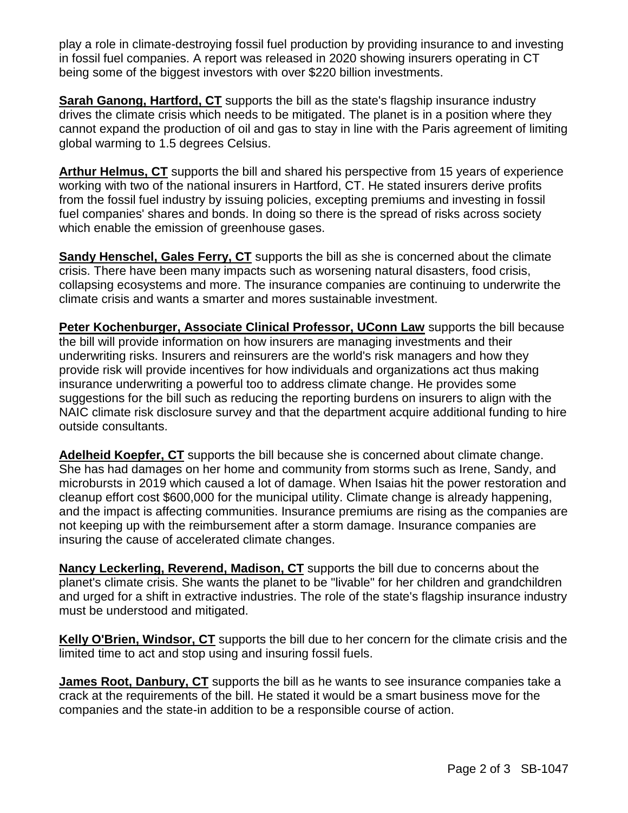play a role in climate-destroying fossil fuel production by providing insurance to and investing in fossil fuel companies. A report was released in 2020 showing insurers operating in CT being some of the biggest investors with over \$220 billion investments.

**Sarah Ganong, Hartford, CT** supports the bill as the state's flagship insurance industry drives the climate crisis which needs to be mitigated. The planet is in a position where they cannot expand the production of oil and gas to stay in line with the Paris agreement of limiting global warming to 1.5 degrees Celsius.

**Arthur Helmus, CT** supports the bill and shared his perspective from 15 years of experience working with two of the national insurers in Hartford, CT. He stated insurers derive profits from the fossil fuel industry by issuing policies, excepting premiums and investing in fossil fuel companies' shares and bonds. In doing so there is the spread of risks across society which enable the emission of greenhouse gases.

**Sandy Henschel, Gales Ferry, CT** supports the bill as she is concerned about the climate crisis. There have been many impacts such as worsening natural disasters, food crisis, collapsing ecosystems and more. The insurance companies are continuing to underwrite the climate crisis and wants a smarter and mores sustainable investment.

Peter Kochenburger, Associate Clinical Professor, UConn Law supports the bill because the bill will provide information on how insurers are managing investments and their underwriting risks. Insurers and reinsurers are the world's risk managers and how they provide risk will provide incentives for how individuals and organizations act thus making insurance underwriting a powerful too to address climate change. He provides some suggestions for the bill such as reducing the reporting burdens on insurers to align with the NAIC climate risk disclosure survey and that the department acquire additional funding to hire outside consultants.

**Adelheid Koepfer, CT** supports the bill because she is concerned about climate change. She has had damages on her home and community from storms such as Irene, Sandy, and microbursts in 2019 which caused a lot of damage. When Isaias hit the power restoration and cleanup effort cost \$600,000 for the municipal utility. Climate change is already happening, and the impact is affecting communities. Insurance premiums are rising as the companies are not keeping up with the reimbursement after a storm damage. Insurance companies are insuring the cause of accelerated climate changes.

**Nancy Leckerling, Reverend, Madison, CT** supports the bill due to concerns about the planet's climate crisis. She wants the planet to be "livable" for her children and grandchildren and urged for a shift in extractive industries. The role of the state's flagship insurance industry must be understood and mitigated.

**Kelly O'Brien, Windsor, CT** supports the bill due to her concern for the climate crisis and the limited time to act and stop using and insuring fossil fuels.

**James Root, Danbury, CT** supports the bill as he wants to see insurance companies take a crack at the requirements of the bill. He stated it would be a smart business move for the companies and the state-in addition to be a responsible course of action.